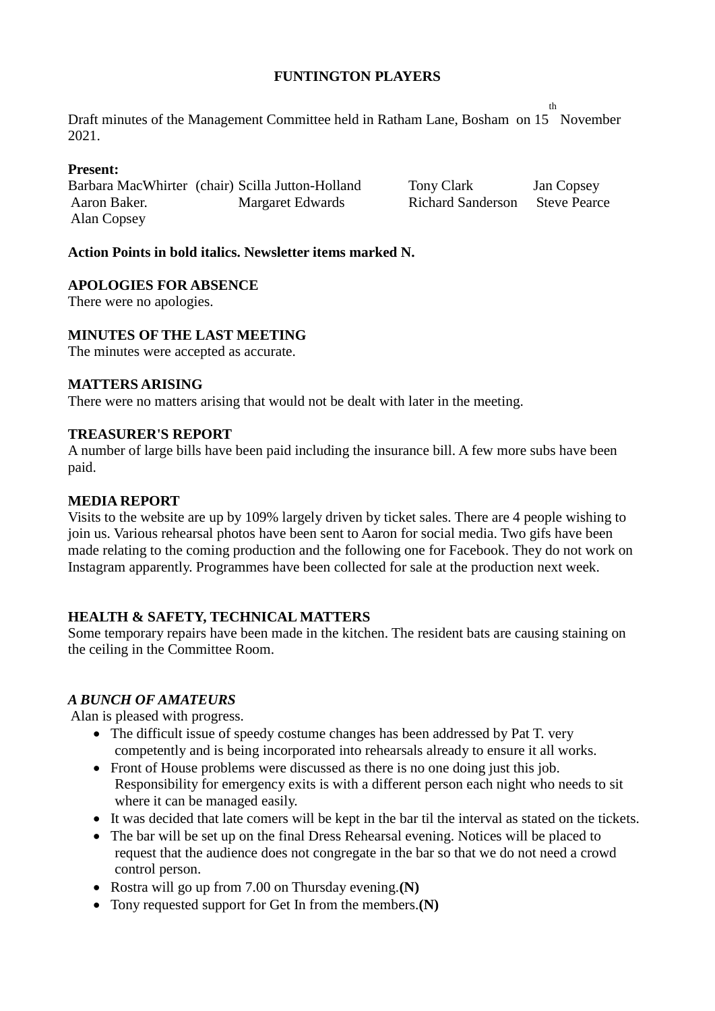# **FUNTINGTON PLAYERS**

Draft minutes of the Management Committee held in Ratham Lane, Bosham on 15 November th 2021.

### **Present:**

Barbara MacWhirter (chair) Scilla Jutton-Holland Tony Clark Jan Copsey Aaron Baker. Margaret Edwards Richard Sanderson Steve Pearce Alan Copsey

### **Action Points in bold italics. Newsletter items marked N.**

#### **APOLOGIES FOR ABSENCE**

There were no apologies.

### **MINUTES OF THE LAST MEETING**

The minutes were accepted as accurate.

#### **MATTERS ARISING**

There were no matters arising that would not be dealt with later in the meeting.

### **TREASURER'S REPORT**

A number of large bills have been paid including the insurance bill. A few more subs have been paid.

#### **MEDIA REPORT**

Visits to the website are up by 109% largely driven by ticket sales. There are 4 people wishing to join us. Various rehearsal photos have been sent to Aaron for social media. Two gifs have been made relating to the coming production and the following one for Facebook. They do not work on Instagram apparently. Programmes have been collected for sale at the production next week.

### **HEALTH & SAFETY, TECHNICAL MATTERS**

Some temporary repairs have been made in the kitchen. The resident bats are causing staining on the ceiling in the Committee Room.

## *A BUNCH OF AMATEURS*

Alan is pleased with progress.

- The difficult issue of speedy costume changes has been addressed by Pat T, very competently and is being incorporated into rehearsals already to ensure it all works.
- Front of House problems were discussed as there is no one doing just this job. Responsibility for emergency exits is with a different person each night who needs to sit where it can be managed easily.
- It was decided that late comers will be kept in the bar til the interval as stated on the tickets.
- The bar will be set up on the final Dress Rehearsal evening. Notices will be placed to request that the audience does not congregate in the bar so that we do not need a crowd control person.
- Rostra will go up from 7.00 on Thursday evening.**(N)**
- Tony requested support for Get In from the members.**(N)**